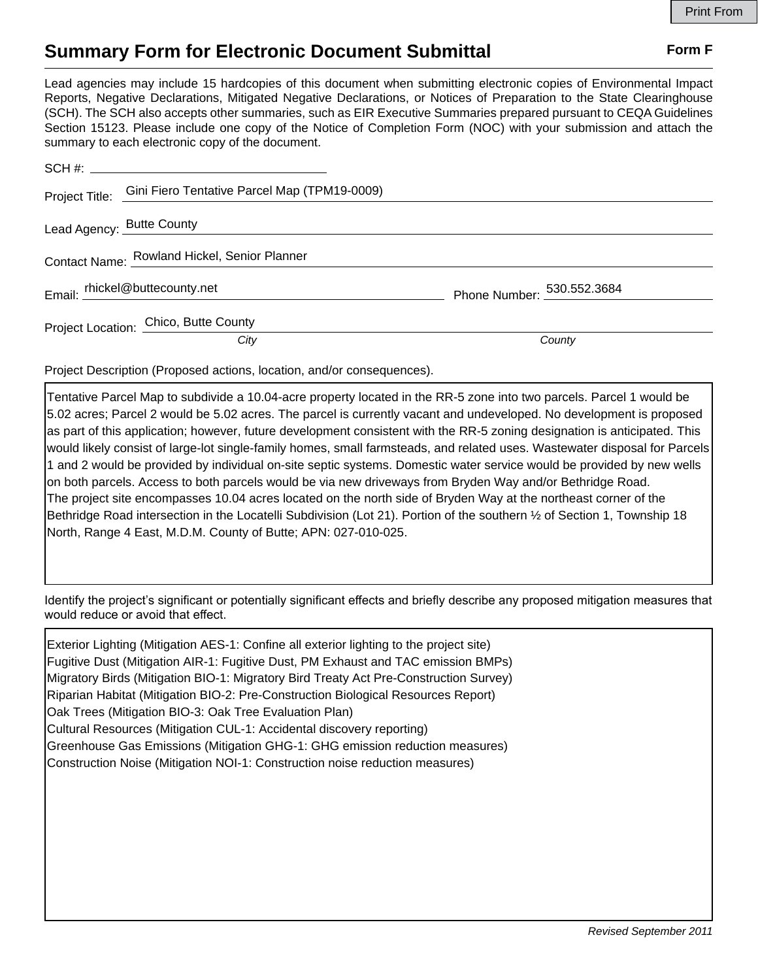## **Summary Form for Electronic Document Submittal Form F Form F**

Lead agencies may include 15 hardcopies of this document when submitting electronic copies of Environmental Impact Reports, Negative Declarations, Mitigated Negative Declarations, or Notices of Preparation to the State Clearinghouse (SCH). The SCH also accepts other summaries, such as EIR Executive Summaries prepared pursuant to CEQA Guidelines Section 15123. Please include one copy of the Notice of Completion Form (NOC) with your submission and attach the summary to each electronic copy of the document.

|                                              | Project Title: Gini Fiero Tentative Parcel Map (TPM19-0009) |                            |
|----------------------------------------------|-------------------------------------------------------------|----------------------------|
|                                              | Lead Agency: Butte County                                   |                            |
| Contact Name: Rowland Hickel, Senior Planner |                                                             |                            |
|                                              | Email: rhickel@buttecounty.net                              | Phone Number: 530.552.3684 |
|                                              | Project Location: Chico, Butte County                       |                            |
|                                              | City                                                        | County                     |

Project Description (Proposed actions, location, and/or consequences).

Tentative Parcel Map to subdivide a 10.04-acre property located in the RR-5 zone into two parcels. Parcel 1 would be 5.02 acres; Parcel 2 would be 5.02 acres. The parcel is currently vacant and undeveloped. No development is proposed as part of this application; however, future development consistent with the RR-5 zoning designation is anticipated. This would likely consist of large-lot single-family homes, small farmsteads, and related uses. Wastewater disposal for Parcels 1 and 2 would be provided by individual on-site septic systems. Domestic water service would be provided by new wells on both parcels. Access to both parcels would be via new driveways from Bryden Way and/or Bethridge Road. The project site encompasses 10.04 acres located on the north side of Bryden Way at the northeast corner of the Bethridge Road intersection in the Locatelli Subdivision (Lot 21). Portion of the southern ½ of Section 1, Township 18 North, Range 4 East, M.D.M. County of Butte; APN: 027-010-025.

Identify the project's significant or potentially significant effects and briefly describe any proposed mitigation measures that would reduce or avoid that effect.

Exterior Lighting (Mitigation AES-1: Confine all exterior lighting to the project site) Fugitive Dust (Mitigation AIR-1: Fugitive Dust, PM Exhaust and TAC emission BMPs) Migratory Birds (Mitigation BIO-1: Migratory Bird Treaty Act Pre-Construction Survey) Riparian Habitat (Mitigation BIO-2: Pre-Construction Biological Resources Report) Oak Trees (Mitigation BIO-3: Oak Tree Evaluation Plan) Cultural Resources (Mitigation CUL-1: Accidental discovery reporting) Greenhouse Gas Emissions (Mitigation GHG-1: GHG emission reduction measures) Construction Noise (Mitigation NOI-1: Construction noise reduction measures)